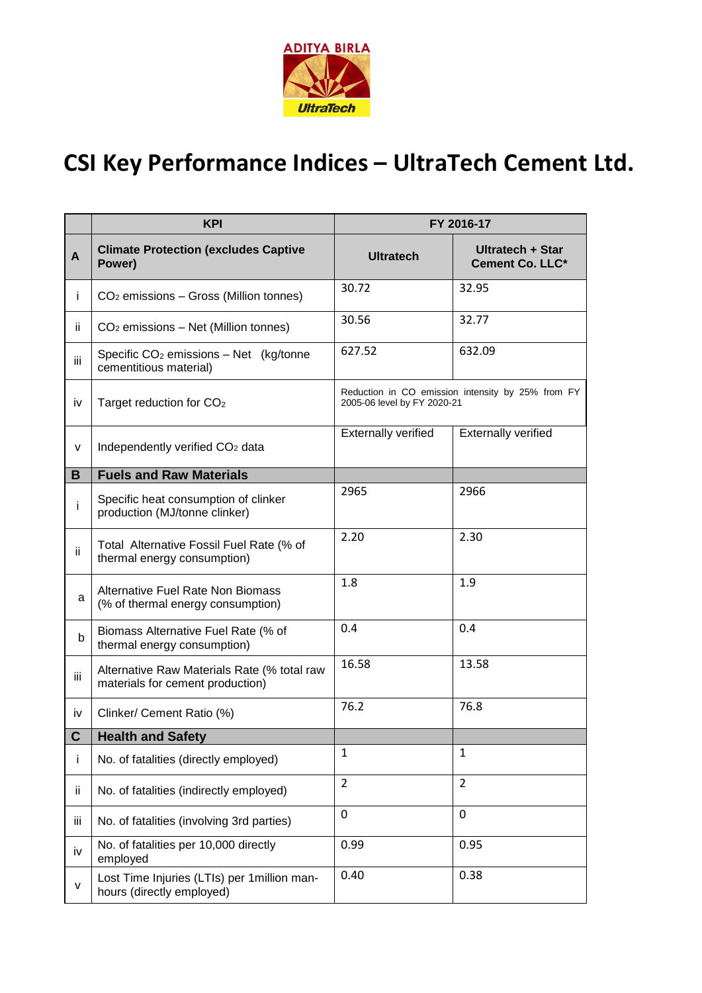

## **CSI Key Performance Indices – UltraTech Cement Ltd.**

|      | <b>KPI</b>                                                                      | FY 2016-17                                                                       |                                            |
|------|---------------------------------------------------------------------------------|----------------------------------------------------------------------------------|--------------------------------------------|
| A    | <b>Climate Protection (excludes Captive</b><br>Power)                           | <b>Ultratech</b>                                                                 | Ultratech + Star<br><b>Cement Co. LLC*</b> |
| Ť    | CO <sub>2</sub> emissions - Gross (Million tonnes)                              | 30.72                                                                            | 32.95                                      |
| ij.  | CO <sub>2</sub> emissions – Net (Million tonnes)                                | 30.56                                                                            | 32.77                                      |
| iii. | Specific CO <sub>2</sub> emissions - Net (kg/tonne<br>cementitious material)    | 627.52                                                                           | 632.09                                     |
| iv   | Target reduction for CO <sub>2</sub>                                            | Reduction in CO emission intensity by 25% from FY<br>2005-06 level by FY 2020-21 |                                            |
| V    | Independently verified CO <sub>2</sub> data                                     | <b>Externally verified</b>                                                       | <b>Externally verified</b>                 |
| B    | <b>Fuels and Raw Materials</b>                                                  |                                                                                  |                                            |
| j.   | Specific heat consumption of clinker<br>production (MJ/tonne clinker)           | 2965                                                                             | 2966                                       |
| Ϊİ   | Total Alternative Fossil Fuel Rate (% of<br>thermal energy consumption)         | 2.20                                                                             | 2.30                                       |
| a    | Alternative Fuel Rate Non Biomass<br>(% of thermal energy consumption)          | 1.8                                                                              | 1.9                                        |
| b    | Biomass Alternative Fuel Rate (% of<br>thermal energy consumption)              | 0.4                                                                              | 0.4                                        |
| Ϊİ   | Alternative Raw Materials Rate (% total raw<br>materials for cement production) | 16.58                                                                            | 13.58                                      |
| iv   | Clinker/ Cement Ratio (%)                                                       | 76.2                                                                             | 76.8                                       |
| C    | <b>Health and Safety</b>                                                        |                                                                                  |                                            |
| İ    | No. of fatalities (directly employed)                                           | $\mathbf{1}$                                                                     | $\mathbf{1}$                               |
| ij.  | No. of fatalities (indirectly employed)                                         | $\overline{2}$                                                                   | $\overline{2}$                             |
| iii  | No. of fatalities (involving 3rd parties)                                       | 0                                                                                | $\mathbf 0$                                |
| iv   | No. of fatalities per 10,000 directly<br>employed                               | 0.99                                                                             | 0.95                                       |
| v    | Lost Time Injuries (LTIs) per 1 million man-<br>hours (directly employed)       | 0.40                                                                             | 0.38                                       |